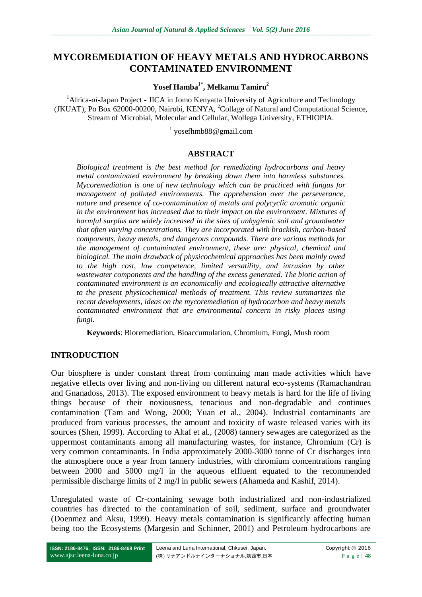# **MYCOREMEDIATION OF HEAVY METALS AND HYDROCARBONS CONTAMINATED ENVIRONMENT**

**Yosef Hamba1\* , Melkamu Tamiru<sup>2</sup>**

<sup>1</sup> Africa-*ai*-Japan Project - JICA in Jomo Kenyatta University of Agriculture and Technology (JKUAT), Po Box 62000-00200, Nairobi, KENYA, <sup>2</sup>Collage of Natural and Computational Science, Stream of Microbial, Molecular and Cellular, Wollega University, ETHIOPIA.

1 yosefhmb88@gmail.com

### **ABSTRACT**

*Biological treatment is the best method for remediating hydrocarbons and heavy metal contaminated environment by breaking down them into harmless substances. Mycoremediation is one of new technology which can be practiced with fungus for management of polluted environments. The apprehension over the perseverance, nature and presence of co-contamination of metals and polycyclic aromatic organic in the environment has increased due to their impact on the environment. Mixtures of harmful surplus are widely increased in the sites of unhygienic soil and groundwater that often varying concentrations. They are incorporated with brackish, carbon-based components, heavy metals, and dangerous compounds. There are various methods for the management of contaminated environment, these are: physical, chemical and biological. The main drawback of physicochemical approaches has been mainly owed to the high cost, low competence, limited versatility, and intrusion by other wastewater components and the handling of the excess generated. The biotic action of contaminated environment is an economically and ecologically attractive alternative to the present physicochemical methods of treatment. This review summarizes the recent developments, ideas on the mycoremediation of hydrocarbon and heavy metals contaminated environment that are environmental concern in risky places using fungi.* 

**Keywords**: Bioremediation, Bioaccumulation, Chromium, Fungi, Mush room

### **INTRODUCTION**

Our biosphere is under constant threat from continuing man made activities which have negative effects over living and non-living on different natural eco-systems (Ramachandran and Gnanadoss, 2013). The exposed environment to heavy metals is hard for the life of living things because of their noxiousness, tenacious and non-degradable and continues contamination (Tam and Wong, 2000; Yuan et al., 2004). Industrial contaminants are produced from various processes, the amount and toxicity of waste released varies with its sources (Shen, 1999). According to Altaf et al., (2008) tannery sewages are categorized as the uppermost contaminants among all manufacturing wastes, for instance, Chromium (Cr) is very common contaminants. In India approximately 2000-3000 tonne of Cr discharges into the atmosphere once a year from tannery industries, with chromium concentrations ranging between 2000 and 5000 mg/l in the aqueous effluent equated to the recommended permissible discharge limits of 2 mg/l in public sewers (Ahameda and Kashif, 2014).

Unregulated waste of Cr-containing sewage both industrialized and non-industrialized countries has directed to the contamination of soil, sediment, surface and groundwater (Doenmez and Aksu, 1999). Heavy metals contamination is significantly affecting human being too the Ecosystems (Margesin and Schinner, 2001) and Petroleum hydrocarbons are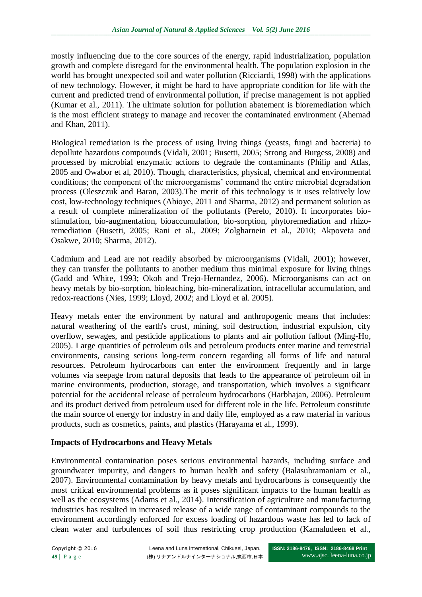mostly influencing due to the core sources of the energy, rapid industrialization, population growth and complete disregard for the environmental health. The population explosion in the world has brought unexpected soil and water pollution (Ricciardi, 1998) with the applications of new technology. However, it might be hard to have appropriate condition for life with the current and predicted trend of environmental pollution, if precise management is not applied (Kumar et al., 2011). The ultimate solution for pollution abatement is bioremediation which is the most efficient strategy to manage and recover the contaminated environment (Ahemad and Khan, 2011).

Biological remediation is the process of using living things (yeasts, fungi and bacteria) to depollute hazardous compounds (Vidali, 2001; Busetti, 2005; Strong and Burgess, 2008) and processed by microbial enzymatic actions to degrade the contaminants (Philip and Atlas, 2005 and Owabor et al, 2010). Though, characteristics, physical, chemical and environmental conditions; the component of the microorganisms' command the entire microbial degradation process (Oleszczuk and Baran, 2003).The merit of this technology is it uses relatively low cost, low-technology techniques (Abioye, 2011 and Sharma, 2012) and permanent solution as a result of complete mineralization of the pollutants (Perelo, 2010). It incorporates biostimulation, bio-augmentation, bioaccumulation, bio-sorption, phytoremediation and rhizoremediation (Busetti, 2005; Rani et al., 2009; Zolgharnein et al., 2010; Akpoveta and Osakwe, 2010; Sharma, 2012).

Cadmium and Lead are not readily absorbed by microorganisms (Vidali, 2001); however, they can transfer the pollutants to another medium thus minimal exposure for living things (Gadd and White, 1993; Okoh and Trejo-Hernandez, 2006). Microorganisms can act on heavy metals by bio-sorption, bioleaching, bio-mineralization, intracellular accumulation, and redox-reactions (Nies, 1999; Lloyd, 2002; and Lloyd et al. 2005).

Heavy metals enter the environment by natural and anthropogenic means that includes: natural weathering of the earth's crust, mining, soil destruction, industrial expulsion, city overflow, sewages, and pesticide applications to plants and air pollution fallout (Ming-Ho, 2005). Large quantities of petroleum oils and petroleum products enter marine and terrestrial environments, causing serious long-term concern regarding all forms of life and natural resources. Petroleum hydrocarbons can enter the environment frequently and in large volumes via seepage from natural deposits that leads to the appearance of petroleum oil in marine environments, production, storage, and transportation, which involves a significant potential for the accidental release of petroleum hydrocarbons (Harbhajan, 2006). Petroleum and its product derived from petroleum used for different role in the life. Petroleum constitute the main source of energy for industry in and daily life, employed as a raw material in various products, such as cosmetics, paints, and plastics (Harayama et al., 1999).

## **Impacts of Hydrocarbons and Heavy Metals**

Environmental contamination poses serious environmental hazards, including surface and groundwater impurity, and dangers to human health and safety (Balasubramaniam et al., 2007). Environmental contamination by heavy metals and hydrocarbons is consequently the most critical environmental problems as it poses significant impacts to the human health as well as the ecosystems (Adams et al., 2014). Intensification of agriculture and manufacturing industries has resulted in increased release of a wide range of contaminant compounds to the environment accordingly enforced for excess loading of hazardous waste has led to lack of clean water and turbulences of soil thus restricting crop production (Kamaludeen et al.,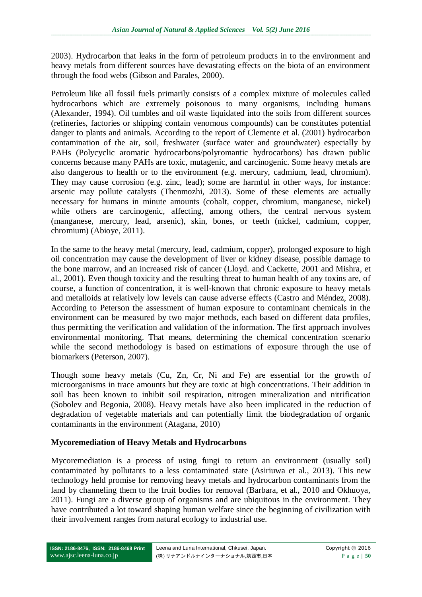2003). Hydrocarbon that leaks in the form of petroleum products in to the environment and heavy metals from different sources have devastating effects on the biota of an environment through the food webs (Gibson and Parales, 2000).

Petroleum like all fossil fuels primarily consists of a complex mixture of molecules called hydrocarbons which are extremely poisonous to many organisms, including humans (Alexander, 1994). Oil tumbles and oil waste liquidated into the soils from different sources (refineries, factories or shipping contain venomous compounds) can be constitutes potential danger to plants and animals. According to the report of Clemente et al. (2001) hydrocarbon contamination of the air, soil, freshwater (surface water and groundwater) especially by PAHs (Polycyclic aromatic hydrocarbons/polyromantic hydrocarbons) has drawn public concerns because many PAHs are toxic, mutagenic, and carcinogenic. Some heavy metals are also dangerous to health or to the environment (e.g. mercury, cadmium, lead, chromium). They may cause corrosion (e.g. zinc, lead); some are harmful in other ways, for instance: arsenic may pollute catalysts (Thenmozhi, 2013). Some of these elements are actually necessary for humans in minute amounts (cobalt, copper, chromium, manganese, nickel) while others are carcinogenic, affecting, among others, the central nervous system (manganese, mercury, lead, arsenic), skin, bones, or teeth (nickel, cadmium, copper, chromium) (Abioye, 2011).

In the same to the heavy metal (mercury, lead, cadmium, copper), prolonged exposure to high oil concentration may cause the development of liver or kidney disease, possible damage to the bone marrow, and an increased risk of cancer (Lloyd. and Cackette, 2001 and Mishra, et al., 2001). Even though toxicity and the resulting threat to human health of any toxins are, of course, a function of concentration, it is well-known that chronic exposure to heavy metals and metalloids at relatively low levels can cause adverse effects (Castro and Méndez, 2008). According to Peterson the assessment of human exposure to contaminant chemicals in the environment can be measured by two major methods, each based on different data profiles, thus permitting the verification and validation of the information. The first approach involves environmental monitoring. That means, determining the chemical concentration scenario while the second methodology is based on estimations of exposure through the use of biomarkers (Peterson, 2007).

Though some heavy metals (Cu, Zn, Cr, Ni and Fe) are essential for the growth of microorganisms in trace amounts but they are toxic at high concentrations. Their addition in soil has been known to inhibit soil respiration, nitrogen mineralization and nitrification (Sobolev and Begonia, 2008). Heavy metals have also been implicated in the reduction of degradation of vegetable materials and can potentially limit the biodegradation of organic contaminants in the environment (Atagana, 2010)

## **Mycoremediation of Heavy Metals and Hydrocarbons**

Mycoremediation is a process of using fungi to return an environment (usually soil) contaminated by pollutants to a less contaminated state (Asiriuwa et al., 2013). This new technology held promise for removing heavy metals and hydrocarbon contaminants from the land by channeling them to the fruit bodies for removal (Barbara, et al., 2010 and Okhuoya, 2011). Fungi are a diverse group of organisms and are ubiquitous in the environment. They have contributed a lot toward shaping human welfare since the beginning of civilization with their involvement ranges from natural ecology to industrial use.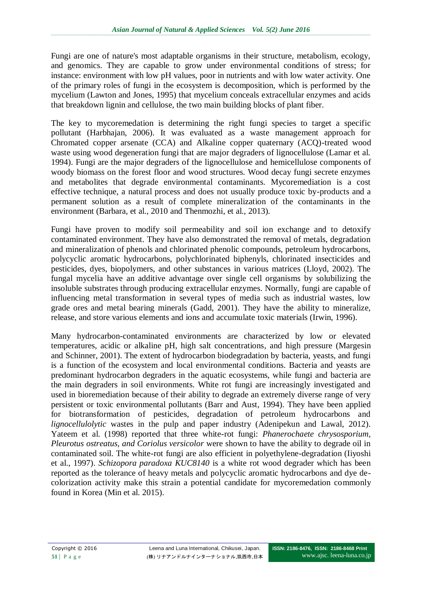Fungi are one of nature's most adaptable organisms in their structure, metabolism, ecology, and genomics. They are capable to grow under environmental conditions of stress; for instance: environment with low pH values, poor in nutrients and with low water activity. One of the primary roles of fungi in the ecosystem is decomposition, which is performed by the mycelium (Lawton and Jones, 1995) that mycelium conceals extracellular enzymes and acids that breakdown lignin and cellulose, the two main building blocks of plant fiber.

The key to mycoremedation is determining the right fungi species to target a specific pollutant (Harbhajan, 2006). It was evaluated as a waste management approach for Chromated copper arsenate (CCA) and Alkaline copper quaternary (ACQ)-treated wood waste using wood degeneration fungi that are major degraders of lignocellulose (Lamar et al. 1994). Fungi are the major degraders of the lignocellulose and hemicellulose components of woody biomass on the forest floor and wood structures. Wood decay fungi secrete enzymes and metabolites that degrade environmental contaminants. Mycoremediation is a cost effective technique, a natural process and does not usually produce toxic by-products and a permanent solution as a result of complete mineralization of the contaminants in the environment (Barbara, et al., 2010 and Thenmozhi, et al., 2013).

Fungi have proven to modify soil permeability and soil ion exchange and to detoxify contaminated environment. They have also demonstrated the removal of metals, degradation and mineralization of phenols and chlorinated phenolic compounds, petroleum hydrocarbons, polycyclic aromatic hydrocarbons, polychlorinated biphenyls, chlorinated insecticides and pesticides, dyes, biopolymers, and other substances in various matrices (Lloyd, 2002). The fungal mycelia have an additive advantage over single cell organisms by solubilizing the insoluble substrates through producing extracellular enzymes. Normally, fungi are capable of influencing metal transformation in several types of media such as industrial wastes, low grade ores and metal bearing minerals (Gadd, 2001). They have the ability to mineralize, release, and store various elements and ions and accumulate toxic materials (Irwin, 1996).

Many hydrocarbon-contaminated environments are characterized by low or elevated temperatures, acidic or alkaline pH, high salt concentrations, and high pressure (Margesin and Schinner, 2001). The extent of hydrocarbon biodegradation by bacteria, yeasts, and fungi is a function of the ecosystem and local environmental conditions. Bacteria and yeasts are predominant hydrocarbon degraders in the aquatic ecosystems, while fungi and bacteria are the main degraders in soil environments. White rot fungi are increasingly investigated and used in bioremediation because of their ability to degrade an extremely diverse range of very persistent or toxic environmental pollutants (Barr and Aust, 1994). They have been applied for biotransformation of pesticides, degradation of petroleum hydrocarbons and *lignocellulolytic* wastes in the pulp and paper industry (Adenipekun and Lawal, 2012). Yateem et al. (1998) reported that three white-rot fungi: *Phanerochaete chrysosporium, Pleurotus ostreatus, and Coriolus versicolor* were shown to have the ability to degrade oil in contaminated soil. The white-rot fungi are also efficient in polyethylene-degradation (Iiyoshi et al., 1997). *Schizopora paradoxa KUC8140* is a white rot wood degrader which has been reported as the tolerance of heavy metals and polycyclic aromatic hydrocarbons and dye decolorization activity make this strain a potential candidate for mycoremedation commonly found in Korea (Min et al. 2015).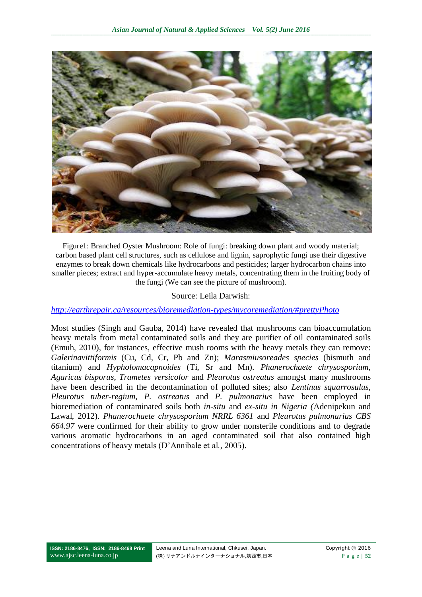

Figure1: Branched Oyster Mushroom: Role of fungi: breaking down plant and woody material; carbon based plant cell structures, such as cellulose and lignin, saprophytic fungi use their digestive enzymes to break down chemicals like hydrocarbons and pesticides; larger hydrocarbon chains into smaller pieces; extract and hyper-accumulate heavy metals, concentrating them in the fruiting body of the fungi (We can see the picture of mushroom).

#### Source: Leila Darwish:

#### *<http://earthrepair.ca/resources/bioremediation-types/mycoremediation/#prettyPhoto>*

Most studies (Singh and Gauba, 2014) have revealed that mushrooms can bioaccumulation heavy metals from metal contaminated soils and they are purifier of oil contaminated soils (Emuh, 2010), for instances, effective mush rooms with the heavy metals they can remove: *Galerinavittiformis* (Cu, Cd, Cr, Pb and Zn); *Marasmiusoreades species* (bismuth and titanium) and *Hypholomacapnoides* (Ti, Sr and Mn). *Phanerochaete chrysosporium*, *Agaricus bisporus*, *Trametes versicolor* and *Pleurotus ostreatus* amongst many mushrooms have been described in the decontamination of polluted sites; also *Lentinus squarrosulus*, *Pleurotus tuber-regium*, *P. ostreatus* and *P. pulmonarius* have been employed in bioremediation of contaminated soils both *in-situ* and *ex-situ in Nigeria (*Adenipekun and Lawal, 2012). *Phanerochaete chrysosporium NRRL 6361* and *Pleurotus pulmonarius CBS 664.97* were confirmed for their ability to grow under nonsterile conditions and to degrade various aromatic hydrocarbons in an aged contaminated soil that also contained high concentrations of heavy metals (D'Annibale et al., 2005).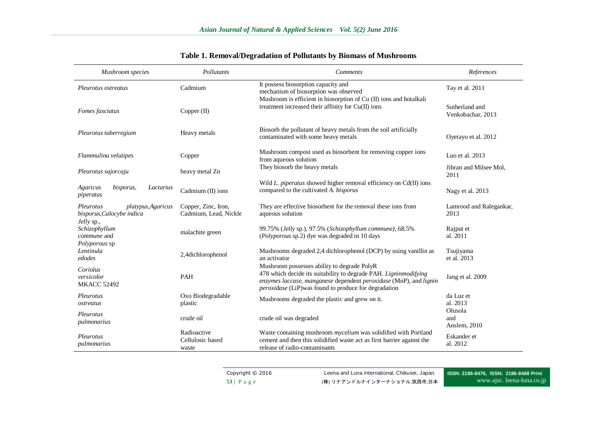**\_\_ \_\_\_\_\_\_ \_\_\_\_\_\_ \_\_\_\_\_\_ \_\_\_\_\_\_ \_\_\_\_\_\_ \_\_\_\_\_\_ \_\_\_\_\_\_ \_\_\_\_\_ \_\_\_\_\_\_ \_\_\_\_\_\_ \_\_\_\_\_\_ \_\_\_\_\_\_ \_\_\_\_\_\_ \_\_\_\_\_\_ \_\_\_\_\_\_ \_\_\_\_\_\_ \_\_\_\_\_ \_\_\_\_\_\_ \_\_\_\_\_\_ \_\_\_\_\_\_ \_\_\_\_\_\_ \_\_\_\_\_\_ \_\_\_\_\_\_ \_\_\_\_\_\_ \_\_\_\_\_ \_\_\_\_\_\_ \_\_\_\_\_\_ \_\_\_\_\_\_ \_\_\_\_\_\_ \_\_\_\_\_\_ \_\_\_\_\_\_ \_\_\_\_\_\_ \_\_\_\_\_ \_\_\_\_\_\_ \_\_\_\_\_\_ \_\_\_\_\_\_ \_\_\_\_\_\_ \_\_\_\_\_\_ \_\_\_\_\_\_ \_\_\_\_\_\_ \_\_\_\_\_ \_\_\_\_ \_\_\_\_\_\_ \_\_\_\_\_\_ \_\_\_\_\_\_ \_\_\_\_\_\_ \_\_\_\_\_\_ \_\_\_\_\_\_ \_\_\_\_\_\_ \_\_\_\_\_ \_\_\_\_\_\_ \_\_\_\_\_\_ \_\_\_\_\_\_ \_\_\_\_\_\_ \_\_\_\_\_\_ \_\_\_\_\_\_ \_\_\_\_\_\_ \_\_\_\_\_\_ \_\_\_\_\_ \_\_\_\_\_\_ \_\_\_\_\_\_ \_\_\_\_\_\_ \_\_\_\_\_\_ \_\_\_\_\_\_ \_\_\_\_\_\_ \_\_\_\_\_\_ \_\_\_\_\_ \_\_\_\_\_\_ \_\_\_\_\_\_ \_\_\_\_\_\_ \_\_\_\_\_\_ \_\_\_\_\_\_ \_\_\_\_\_\_ \_\_\_\_\_\_ \_\_\_\_\_ \_\_\_\_\_\_ \_\_\_**

| Mushroom species                                                           | Pollutants                                   | <b>Comments</b>                                                                                                                                                                                                                                     | References                          |
|----------------------------------------------------------------------------|----------------------------------------------|-----------------------------------------------------------------------------------------------------------------------------------------------------------------------------------------------------------------------------------------------------|-------------------------------------|
| Pleurotus ostreatus                                                        | Cadmium                                      | It possess biosorption capacity and<br>mechanism of biosorption was observed                                                                                                                                                                        | Tay et al. 2011                     |
| Fomes fasciatus                                                            | Copper $(II)$                                | Mushroom is efficient in biosorption of Cu (II) ions and hotalkali<br>treatment increased their affinity for Cu(II) ions                                                                                                                            | Sutherland and<br>Venkobachar, 2013 |
| Pleurotus tuberregium                                                      | Heavy metals                                 | Biosorb the pollutant of heavy metals from the soil artificially<br>contaminated with some heavy metals                                                                                                                                             | Oyetayo et al. 2012                 |
| Flammulina velutipes                                                       | Copper                                       | Mushroom compost used as biosorbent for removing copper ions<br>from aqueous solution                                                                                                                                                               | Luo et al. 2013                     |
| Pleurotus sajorcaju                                                        | heavy metal Zn                               | They biosorb the heavy metals                                                                                                                                                                                                                       | Jibran and Milsee Mol,<br>2011      |
| Agaricus<br>bisporus,<br>Lactarius<br>piperatus                            | Cadmium (II) ions                            | Wild L. piperatus showed higher removal efficiency on Cd(II) ions<br>compared to the cultivated A. bisporus                                                                                                                                         | Nagy et al. 2013                    |
| Pleurotus<br>platypus, Agaricus<br>bisporus, Calocybe indica<br>Jelly sp., | Copper, Zinc, Iron,<br>Cadmium, Lead, Nickle | They are effective biosorbent for the removal these ions from<br>aqueous solution                                                                                                                                                                   | Lamrood and Ralegankar,<br>2013     |
| Schizophyllum<br>commune and<br>Polyporous sp                              | malachite green                              | 99.75% (Jelly sp.), 97.5% (Schizophyllum commune), 68.5%<br>(Polyporous sp.2) dye was degraded in 10 days                                                                                                                                           | Rajput et<br>al. 2011               |
| Lentinula<br>edodes                                                        | 2,4dichlorophenol                            | Mushrooms degraded 2,4 dichlorophenol (DCP) by using vanillin as<br>an activator                                                                                                                                                                    | Tsujiyama<br>et al. 2013            |
| Coriolus<br>versicolor<br><b>MKACC 52492</b>                               | PAH                                          | Mushroom possesses ability to degrade PolyR<br>478 which decide its suitability to degrade PAH. Ligninmodifying<br>enzymes laccase, manganese dependent peroxidase (MnP), and lignin<br><i>peroxidase</i> (LiP)was found to produce for degradation | Jang et al. 2009                    |
| Pleurotus<br>ostreatus                                                     | Oxo Biodegradable<br>plastic                 | Mushrooms degraded the plastic and grew on it.                                                                                                                                                                                                      | da Luz et<br>al. 2013               |
| Pleurotus<br>pulmonarius                                                   | crude oil                                    | crude oil was degraded                                                                                                                                                                                                                              | Olusola<br>and<br>Anslem, 2010      |
| Pleurotus<br>pulmonarius                                                   | Radioactive<br>Cellulosic based<br>waste     | Waste containing mushroom mycelium was solidified with Portland<br>cement and then this solidified waste act as first barrier against the<br>release of radio-contaminants                                                                          | Eskander et<br>al. 2012             |

### **Table 1. Removal/Degradation of Pollutants by Biomass of Mushrooms**

Copyright © 2016 Leena and Luna International, Chikusei, Japan. 53 | P a g e (株) リナアンドルナインターナショナル,筑西市,日本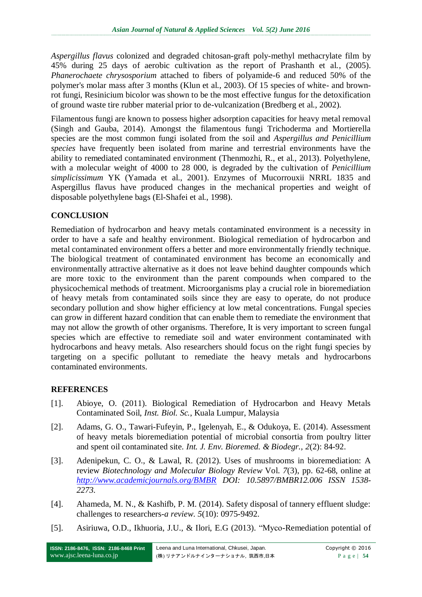*Aspergillus flavus* colonized and degraded chitosan-graft poly-methyl methacrylate film by 45% during 25 days of aerobic cultivation as the report of Prashanth et al., (2005). *Phanerochaete chrysosporium* attached to fibers of polyamide-6 and reduced 50% of the polymer's molar mass after 3 months (Klun et al., 2003). Of 15 species of white- and brownrot fungi, Resinicium bicolor was shown to be the most effective fungus for the detoxification of ground waste tire rubber material prior to de-vulcanization (Bredberg et al., 2002).

Filamentous fungi are known to possess higher adsorption capacities for heavy metal removal (Singh and Gauba, 2014). Amongst the filamentous fungi Trichoderma and Mortierella species are the most common fungi isolated from the soil and *Aspergillus and Penicillium species* have frequently been isolated from marine and terrestrial environments have the ability to remediated contaminated environment (Thenmozhi, R., et al., 2013). Polyethylene, with a molecular weight of 4000 to 28 000, is degraded by the cultivation of *Penicillium simplicissimum* YK (Yamada et al., 2001). Enzymes of Mucorrouxii NRRL 1835 and Aspergillus flavus have produced changes in the mechanical properties and weight of disposable polyethylene bags (El-Shafei et al., 1998).

## **CONCLUSION**

Remediation of hydrocarbon and heavy metals contaminated environment is a necessity in order to have a safe and healthy environment. Biological remediation of hydrocarbon and metal contaminated environment offers a better and more environmentally friendly technique. The biological treatment of contaminated environment has become an economically and environmentally attractive alternative as it does not leave behind daughter compounds which are more toxic to the environment than the parent compounds when compared to the physicochemical methods of treatment. Microorganisms play a crucial role in bioremediation of heavy metals from contaminated soils since they are easy to operate, do not produce secondary pollution and show higher efficiency at low metal concentrations. Fungal species can grow in different hazard condition that can enable them to remediate the environment that may not allow the growth of other organisms. Therefore, It is very important to screen fungal species which are effective to remediate soil and water environment contaminated with hydrocarbons and heavy metals. Also researchers should focus on the right fungi species by targeting on a specific pollutant to remediate the heavy metals and hydrocarbons contaminated environments.

## **REFERENCES**

- [1]. Abioye, O. (2011). Biological Remediation of Hydrocarbon and Heavy Metals Contaminated Soil, *Inst. Biol. Sc.*, Kuala Lumpur, Malaysia
- [2]. Adams, G. O., Tawari-Fufeyin, P., Igelenyah, E., & Odukoya, E. (2014). Assessment of heavy metals bioremediation potential of microbial consortia from poultry litter and spent oil contaminated site. *Int. J. Env. Bioremed. & Biodegr., 2*(2): 84-92.
- [3]. Adenipekun, C. O., & Lawal, R. (2012). Uses of mushrooms in bioremediation: A review *Biotechnology and Molecular Biology Review* Vol. *7*(3), pp. 62-68, online at *<http://www.academicjournals.org/BMBR> DOI: 10.5897/BMBR12.006 ISSN 1538- 2273.*
- [4]. Ahameda, M. N., & Kashifb, P. M. (2014). Safety disposal of tannery effluent sludge: challenges to researchers*-a review*. *5*(10): 0975-9492.
- [5]. Asiriuwa, O.D., Ikhuoria, J.U., & Ilori, E.G (2013). "Myco-Remediation potential of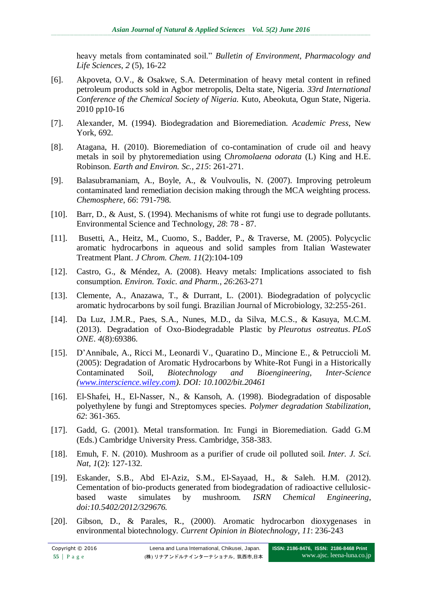heavy metals from contaminated soil." *Bulletin of Environment, Pharmacology and Life Sciences*, *2* (5), 16-22

- [6]. Akpoveta, O.V., & Osakwe, S.A. Determination of heavy metal content in refined petroleum products sold in Agbor metropolis, Delta state, Nigeria. *33rd International Conference of the Chemical Society of Nigeria.* Kuto, Abeokuta, Ogun State, Nigeria. 2010 pp10-16
- [7]. Alexander, M. (1994). Biodegradation and Bioremediation. *Academic Press*, New York, 692.
- [8]. Atagana, H. (2010). Bioremediation of co-contamination of crude oil and heavy metals in soil by phytoremediation using C*hromolaena odorata* (L) King and H.E. Robinson. *Earth and Environ. Sc., 215*: 261-271.
- [9]. Balasubramaniam, A., Boyle, A., & Voulvoulis, N. (2007). Improving petroleum contaminated land remediation decision making through the MCA weighting process. *Chemosphere*, *66*: 791-798.
- [10]. Barr, D., & Aust, S. (1994). Mechanisms of white rot fungi use to degrade pollutants. Environmental Science and Technology, *28*: 78 - 87.
- [11]. Busetti, A., Heitz, M., Cuomo, S., Badder, P., & Traverse, M. (2005). Polycyclic aromatic hydrocarbons in aqueous and solid samples from Italian Wastewater Treatment Plant. *J Chrom. Chem. 11*(2):104-109
- [12]. Castro, G., & Méndez, A. (2008). Heavy metals: Implications associated to fish consumption. *Environ. Toxic. and Pharm., 26*:263-271
- [13]. Clemente, A., Anazawa, T., & Durrant, L. (2001). Biodegradation of polycyclic aromatic hydrocarbons by soil fungi. Brazilian Journal of Microbiology, 32:255-261.
- [14]. Da Luz, J.M.R., Paes, S.A., Nunes, M.D., da Silva, M.C.S., & Kasuya, M.C.M. (2013). Degradation of Oxo-Biodegradable Plastic by *Pleurotus ostreatus*. *PLoS ONE*. *4*(8):69386.
- [15]. D'Annibale, A., Ricci M., Leonardi V., Quaratino D., Mincione E., & Petruccioli M. (2005): Degradation of Aromatic Hydrocarbons by White-Rot Fungi in a Historically Contaminated Soil, *Biotechnology and Bioengineering*, *Inter-Science [\(www.interscience.wiley.com\)](http://www.interscience.wiley.com/). DOI: 10.1002/bit.20461*
- [16]. El-Shafei, H., El-Nasser, N., & Kansoh, A. (1998). Biodegradation of disposable polyethylene by fungi and Streptomyces species. *Polymer degradation Stabilization*, *62*: 361-365.
- [17]. Gadd, G. (2001). Metal transformation. In: Fungi in Bioremediation. Gadd G.M (Eds.) Cambridge University Press. Cambridge, 358-383.
- [18]. Emuh, F. N. (2010). Mushroom as a purifier of crude oil polluted soil. *Inter. J. Sci. Nat*, *1*(2): 127-132.
- [19]. Eskander, S.B., Abd El-Aziz, S.M., El-Sayaad, H., & Saleh. H.M. (2012). Cementation of bio-products generated from biodegradation of radioactive cellulosicbased waste simulates by mushroom. *ISRN Chemical Engineering*, *doi:10.5402/2012/329676.*
- [20]. Gibson, D., & Parales, R., (2000). Aromatic hydrocarbon dioxygenases in environmental biotechnology. *Current Opinion in Biotechnology*, *11*: 236-243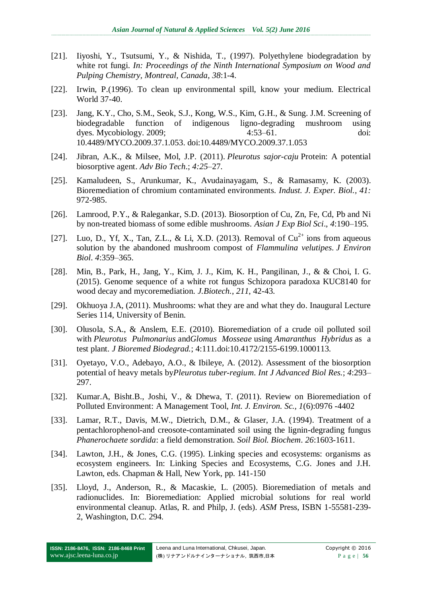- [21]. Iiyoshi, Y., Tsutsumi, Y., & Nishida, T., (1997). Polyethylene biodegradation by white rot fungi. *In: Proceedings of the Ninth International Symposium on Wood and Pulping Chemistry, Montreal, Canada*, *38*:1-4.
- [22]. Irwin, P.(1996). To clean up environmental spill, know your medium. Electrical World 37-40.
- [23]. Jang, K.Y., Cho, S.M., Seok, S.J., Kong, W.S., Kim, G.H., & Sung. J.M. Screening of biodegradable function of indigenous ligno-degrading mushroom using dyes. Mycobiology. 2009; 4:53–61. doi: 10.4489/MYCO.2009.37.1.053. doi:10.4489/MYCO.2009.37.1.053
- [24]. Jibran, A.K., & Milsee, Mol, J.P. (2011). *Pleurotus sajor-caju* Protein: A potential biosorptive agent. *Adv Bio Tech*.; *4:25*–27.
- [25]. Kamaludeen, S., Arunkumar, K., Avudainayagam, S., & Ramasamy, K. (2003). Bioremediation of chromium contaminated environments. *Indust. J. Exper. Biol., 41:* 972-985.
- [26]. Lamrood, P.Y., & Ralegankar, S.D. (2013). Biosorption of Cu, Zn, Fe, Cd, Pb and Ni by non-treated biomass of some edible mushrooms. *Asian J Exp Biol Sci*., *4*:190–195.
- [27]. Luo, D., Yf, X., Tan, Z.L., & Li, X.D. (2013). Removal of  $Cu^{2+}$  ions from aqueous solution by the abandoned mushroom compost of *Flammulina velutipes*. *J Environ Biol*. *4*:359–365.
- [28]. Min, B., Park, H., Jang, Y., Kim, J. J., Kim, K. H., Pangilinan, J., & & Choi, I. G. (2015). Genome sequence of a white rot fungus Schizopora paradoxa KUC8140 for wood decay and mycoremediation. *J.Biotech.*, *211*, 42-43.
- [29]. Okhuoya J.A, (2011). Mushrooms: what they are and what they do. Inaugural Lecture Series 114, University of Benin.
- [30]. Olusola, S.A., & Anslem, E.E. (2010). Bioremediation of a crude oil polluted soil with *Pleurotus Pulmonarius* and*Glomus Mosseae* using *Amaranthus Hybridus* as a test plant. *J Bioremed Biodegrad.*; 4:111.doi:10.4172/2155-6199.1000113.
- [31]. Oyetayo, V.O., Adebayo, A.O., & Ibileye, A. (2012). Assessment of the biosorption potential of heavy metals by*Pleurotus tuber-regium*. *Int J Advanced Biol Res.*; *4*:293– 297.
- [32]. Kumar.A, Bisht.B., Joshi, V., & Dhewa, T. (2011). Review on Bioremediation of Polluted Environment: A Management Tool, *Int. J. Environ. Sc., 1*(6):0976 -4402
- [33]. Lamar, R.T., Davis, M.W., Dietrich, D.M., & Glaser, J.A. (1994). Treatment of a pentachlorophenol-and creosote-contaminated soil using the lignin-degrading fungus *Phanerochaete sordida*: a field demonstration. *Soil Biol. Biochem*. *26*:1603-1611.
- [34]. Lawton, J.H., & Jones, C.G. (1995). Linking species and ecosystems: organisms as ecosystem engineers. In: Linking Species and Ecosystems, C.G. Jones and J.H. Lawton, eds. Chapman & Hall, New York, pp. 141-150
- [35]. Lloyd, J., Anderson, R., & Macaskie, L. (2005). Bioremediation of metals and radionuclides. In: Bioremediation: Applied microbial solutions for real world environmental cleanup. Atlas, R. and Philp, J. (eds). *ASM* Press, ISBN 1-55581-239- 2, Washington, D.C. 294.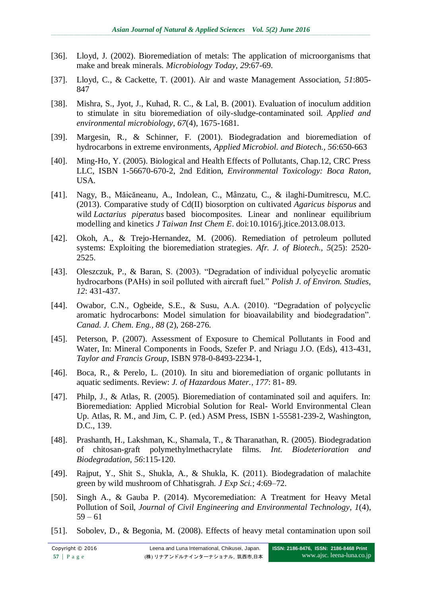- [36]. Lloyd, J. (2002). Bioremediation of metals: The application of microorganisms that make and break minerals. *Microbiology Today, 29*:67-69.
- [37]. Lloyd, C., & Cackette, T. (2001). Air and waste Management Association, *51*:805- 847
- [38]. Mishra, S., Jyot, J., Kuhad, R. C., & Lal, B. (2001). Evaluation of inoculum addition to stimulate in situ bioremediation of oily-sludge-contaminated soil. *Applied and environmental microbiology*, *67*(4), 1675-1681.
- [39]. Margesin, R., & Schinner, F. (2001). Biodegradation and bioremediation of hydrocarbons in extreme environments, *Applied Microbiol. and Biotech., 56*:650-663
- [40]. Ming-Ho, Y. (2005). Biological and Health Effects of Pollutants, Chap.12, CRC Press LLC, ISBN 1-56670-670-2, 2nd Edition, *Environmental Toxicology: Boca Raton*, USA.
- [41]. Nagy, B., Măicăneanu, A., Indolean, C., Mânzatu, C., & ilaghi-Dumitrescu, M.C. (2013). Comparative study of Cd(II) biosorption on cultivated *Agaricus bisporus* and wild *Lactarius piperatus* based biocomposites. Linear and nonlinear equilibrium modelling and kinetics *J Taiwan Inst Chem E*. doi:10.1016/j.jtice.2013.08.013.
- [42]. Okoh, A., & Trejo-Hernandez, M. (2006). Remediation of petroleum polluted systems: Exploiting the bioremediation strategies. *Afr. J. of Biotech., 5*(25): 2520- 2525.
- [43]. Oleszczuk, P., & Baran, S. (2003). "Degradation of individual polycyclic aromatic hydrocarbons (PAHs) in soil polluted with aircraft fuel." *Polish J. of Environ. Studies, 12*: 431-437.
- [44]. Owabor, C.N., Ogbeide, S.E., & Susu, A.A. (2010). "Degradation of polycyclic aromatic hydrocarbons: Model simulation for bioavailability and biodegradation". *Canad. J. Chem. Eng., 88* (2), 268-276.
- [45]. Peterson, P. (2007). Assessment of Exposure to Chemical Pollutants in Food and Water, In: Mineral Components in Foods, Szefer P. and Nriagu J.O. (Eds), 413-431, *Taylor and Francis Group*, ISBN 978-0-8493-2234-1,
- [46]. Boca, R., & Perelo, L. (2010). In situ and bioremediation of organic pollutants in aquatic sediments. Review: *J. of Hazardous Mater., 177*: 81- 89.
- [47]. Philp, J., & Atlas, R. (2005). Bioremediation of contaminated soil and aquifers. In: Bioremediation: Applied Microbial Solution for Real- World Environmental Clean Up. Atlas, R. M., and Jim, C. P. (ed.) ASM Press, ISBN 1-55581-239-2, Washington, D.C., 139.
- [48]. Prashanth, H., Lakshman, K., Shamala, T., & Tharanathan, R. (2005). Biodegradation of chitosan-graft polymethylmethacrylate films. *Int. Biodeterioration and Biodegradation, 56*:115-120.
- [49]. Rajput, Y., Shit S., Shukla, A., & Shukla, K. (2011). Biodegradation of malachite green by wild mushroom of Chhatisgrah. *J Exp Sci.*; *4*:69–72.
- [50]. Singh A., & Gauba P. (2014). Mycoremediation: A Treatment for Heavy Metal Pollution of Soil, *Journal of Civil Engineering and Environmental Technology*, *1*(4),  $59 - 61$
- [51]. Sobolev, D., & Begonia, M. (2008). Effects of heavy metal contamination upon soil